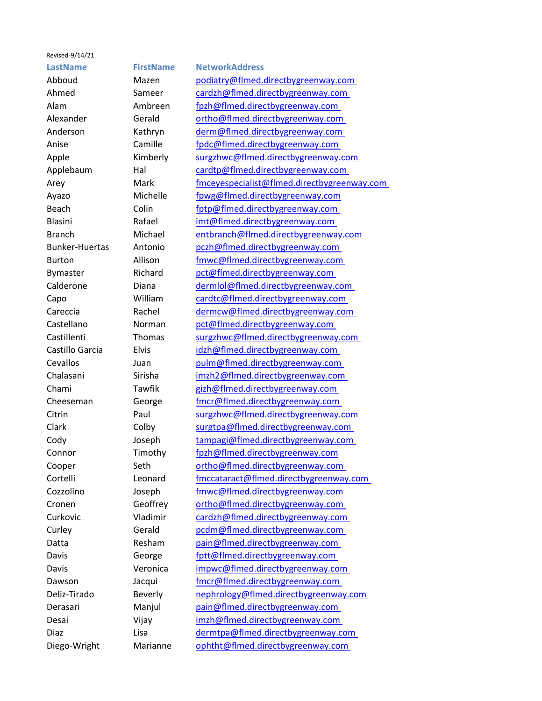## Revised-9/14/21

## **LastName FirstName NetworkAddress**

Abboud Mazen [podiatry@flmed.directbygreenway.com](mailto:podiatry@flmed.directbygreenway.com)  Ahmed Sameer cardzh@flmed.directbygreenway.com Alam Ambreen [fpzh@flmed.directbygreenway.com](mailto:fpzh@flmed.directbygreenway.com)  Alexander Gerald ortho@flmed.directbygreenway.com Anderson Kathryn [derm@flmed.directbygreenway.com](mailto:derm@flmed.directbygreenway.com)  Anise Camille fpdc@flmed.directbygreenway.com Apple Kimberly [surgzhwc@flmed.directbygreenway.com](mailto:surgzhwc@flmed.directbygreenway.com)  Applebaum Hal [cardtp@flmed.directbygreenway.com](mailto:cardtp@flmed.directbygreenway.com)  Arey Mark [fmceyespecialist@flmed.directbygreenway.com](mailto:fmceyespecialist@flmed.directbygreenway.com)  Ayazo Michelle fpwg@flmed.directbygreenway.com Beach Colin [fptp@flmed.directbygreenway.com](mailto:fptp@flmed.directbygreenway.com)  Blasini Rafael imt@flmed.directbygreenway.com Branch Michael [entbranch@flmed.directbygreenway.com](mailto:entbranch@flmed.directbygreenway.com)  Bunker-Huertas Antonio [pczh@flmed.directbygreenway.com](mailto:pczh@flmed.directbygreenway.com)  Burton Allison [fmwc@flmed.directbygreenway.com](mailto:fmwc@flmed.directbygreenway.com)  Bymaster Richard [pct@flmed.directbygreenway.com](mailto:pct@flmed.directbygreenway.com)  Calderone Diana dermlol@flmed.directbygreenway.com Capo William [cardtc@flmed.directbygreenway.com](mailto:cardtc@flmed.directbygreenway.com)  Careccia Rachel [dermcw@flmed.directbygreenway.com](mailto:dermcw@flmed.directbygreenway.com)  Castellano Norman pct@flmed.directbygreenway.com Castillenti Thomas [surgzhwc@flmed.directbygreenway.com](mailto:surgzhwc@flmed.directbygreenway.com)  Castillo Garcia Elvis idzh@flmed.directbygreenway.com Cevallos Juan [pulm@flmed.directbygreenway.com](mailto:pulm@flmed.directbygreenway.com)  Chalasani Sirisha [imzh2@flmed.directbygreenway.com](mailto:imzh2@flmed.directbygreenway.com)  Chami Tawfik gizh@flmed.directbygreenway.com Cheeseman George [fmcr@flmed.directbygreenway.com](mailto:fmcr@flmed.directbygreenway.com)  Citrin Paul [surgzhwc@flmed.directbygreenway.com](mailto:surgzhwc@flmed.directbygreenway.com)  Clark Colby [surgtpa@flmed.directbygreenway.com](mailto:surgtpa@flmed.directbygreenway.com)  Cody Joseph [tampagi@flmed.directbygreenway.com](mailto:tampagi@flmed.directbygreenway.com)  Connor Timothy fpzh@flmed.directbygreenway.com Cooper Seth [ortho@flmed.directbygreenway.com](mailto:ortho@flmed.directbygreenway.com)  Cortelli Leonard [fmccataract@flmed.directbygreenway.com](mailto:fmccataract@flmed.directbygreenway.com)  Cozzolino Joseph [fmwc@flmed.directbygreenway.com](mailto:fmwc@flmed.directbygreenway.com)  Cronen Geoffrey [ortho@flmed.directbygreenway.com](mailto:ortho@flmed.directbygreenway.com)  Curkovic Vladimir cardzh@flmed.directbygreenway.com Curley Gerald [pcdm@flmed.directbygreenway.com](mailto:pcdm@flmed.directbygreenway.com)  Datta Resham pain@flmed.directbygreenway.com Davis George fptt@flmed.directbygreenway.com Davis Veronica [impwc@flmed.directbygreenway.com](mailto:impwc@flmed.directbygreenway.com)  Dawson Jacqui fmcr@flmed.directbygreenway.com Deliz-Tirado Beverly nephrology@flmed.directbygreenway.com Derasari Manjul [pain@flmed.directbygreenway.com](mailto:pain@flmed.directbygreenway.com)  Desai Vijay imzh@flmed.directbygreenway.com Diaz Lisa Lisa dermtpa@flmed.directbygreenway.com Diego-Wright Marianne [ophtht@flmed.directbygreenway.com](mailto:ophtht@flmed.directbygreenway.com)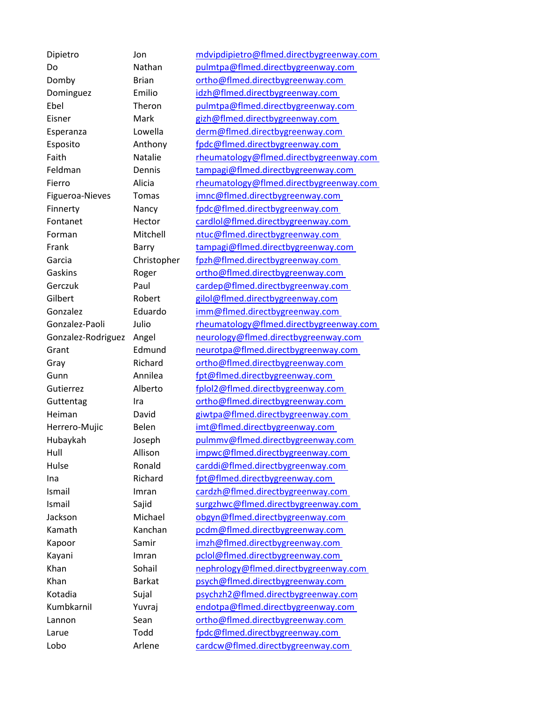Dipietro Jon [mdvipdipietro@flmed.directbygreenway.com](mailto:mdvipdipietro@flmed.directbygreenway.com)  Do Nathan [pulmtpa@flmed.directbygreenway.com](mailto:pulmtpa@flmed.directbygreenway.com)  Domby Brian ortho@flmed.directbygreenway.com Dominguez Emilio idzh@flmed.directbygreenway.com Ebel Theron [pulmtpa@flmed.directbygreenway.com](mailto:pulmtpa@flmed.directbygreenway.com)  Eisner Mark [gizh@flmed.directbygreenway.com](mailto:gizh@flmed.directbygreenway.com)  Esperanza Lowella [derm@flmed.directbygreenway.com](mailto:derm@flmed.directbygreenway.com)  Esposito Anthony [fpdc@flmed.directbygreenway.com](mailto:fpdc@flmed.directbygreenway.com)  Faith Natalie [rheumatology@flmed.directbygreenway.com](mailto:rheumatology@flmed.directbygreenway.com)  Feldman Dennis [tampagi@flmed.directbygreenway.com](mailto:tampagi@flmed.directbygreenway.com)  Fierro **Alicia** rheumatology@flmed.directbygreenway.com Figueroa-Nieves Tomas [imnc@flmed.directbygreenway.com](mailto:imnc@flmed.directbygreenway.com)  Finnerty Nancy [fpdc@flmed.directbygreenway.com](mailto:fpdc@flmed.directbygreenway.com)  Fontanet Hector cardlol@flmed.directbygreenway.com Forman Mitchell ntuc@flmed.directbygreenway.com Frank Barry [tampagi@flmed.directbygreenway.com](mailto:tampagi@flmed.directbygreenway.com)  Garcia Christopher [fpzh@flmed.directbygreenway.com](mailto:fpzh@flmed.directbygreenway.com)  Gaskins Roger [ortho@flmed.directbygreenway.com](mailto:ortho@flmed.directbygreenway.com)  Gerczuk Paul cardep@flmed.directbygreenway.com Gilbert Robert gilol@flmed.directbygreenway.com Gonzalez Eduardo [imm@flmed.directbygreenway.com](mailto:imm@flmed.directbygreenway.com)  Gonzalez-Paoli Julio [rheumatology@flmed.directbygreenway.com](mailto:rheumatology@flmed.directbygreenway.com)  Gonzalez-Rodriguez Angel neurology@flmed.directbygreenway.com Grant Edmund [neurotpa@flmed.directbygreenway.com](mailto:neurotpa@flmed.directbygreenway.com)  Gray Richard [ortho@flmed.directbygreenway.com](mailto:ortho@flmed.directbygreenway.com)  Gunn Annilea [fpt@flmed.directbygreenway.com](mailto:fpt@flmed.directbygreenway.com)  Gutierrez Alberto fplol2@flmed.directbygreenway.com Guttentag Ira Ira ortho@flmed.directbygreenway.com Heiman David [giwtpa@flmed.directbygreenway.com](mailto:giwtpa@flmed.directbygreenway.com)  Herrero-Mujic Belen imt@flmed.directbygreenway.com Hubaykah Joseph [pulmmv@flmed.directbygreenway.com](mailto:pulmmv@flmed.directbygreenway.com)  Hull Allison impwc@flmed.directbygreenway.com Hulse Ronald [carddi@flmed.directbygreenway.com](mailto:carddi@flmed.directbygreenway.com)  Ina Richard [fpt@flmed.directbygreenway.com](mailto:fpt@flmed.directbygreenway.com)  Ismail Imran cardzh@flmed.directbygreenway.com Ismail Sajid surgzhwc@flmed.directbygreenway.com Jackson Michael [obgyn@flmed.directbygreenway.com](mailto:obgyn@flmed.directbygreenway.com)  Kamath Kanchan [pcdm@flmed.directbygreenway.com](mailto:pcdm@flmed.directbygreenway.com)  Kapoor Samir imzh@flmed.directbygreenway.com Kayani Imran pclol@flmed.directbygreenway.com Khan Sohail nephrology@flmed.directbygreenway.com Khan Barkat psych@flmed.directbygreenway.com Kotadia **Sujal bychzh2@flmed.directbygreenway.com** KumbkarniI Yuvraj [endotpa@flmed.directbygreenway.com](mailto:endotpa@flmed.directbygreenway.com)  Lannon Sean ortho@flmed.directbygreenway.com Larue Todd fpdc@flmed.directbygreenway.com Lobo Arlene [cardcw@flmed.directbygreenway.com](mailto:cardcw@flmed.directbygreenway.com)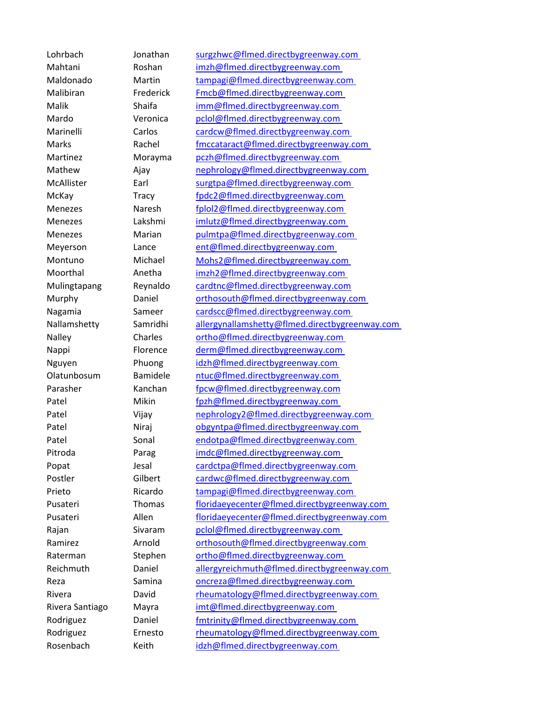Lohrbach Jonathan [surgzhwc@flmed.directbygreenway.com](mailto:surgzhwc@flmed.directbygreenway.com)  Mahtani Roshan [imzh@flmed.directbygreenway.com](mailto:imzh@flmed.directbygreenway.com)  Maldonado Martin tampagi@flmed.directbygreenway.com Malibiran Frederick [Fmcb@flmed.directbygreenway.com](mailto:Fmcb@flmed.directbygreenway.com)  Malik Shaifa imm@flmed.directbygreenway.com Mardo Veronica [pclol@flmed.directbygreenway.com](mailto:pclol@flmed.directbygreenway.com)  Marinelli Carlos cardcw@flmed.directbygreenway.com Marks Rachel fmccataract@flmed.directbygreenway.com Martinez Morayma [pczh@flmed.directbygreenway.com](mailto:pczh@flmed.directbygreenway.com)  Mathew Ajay [nephrology@flmed.directbygreenway.com](mailto:nephrology@flmed.directbygreenway.com)  McAllister Earl surgtpa@flmed.directbygreenway.com McKay Tracy [fpdc2@flmed.directbygreenway.com](mailto:fpdc2@flmed.directbygreenway.com)  Menezes Naresh [fplol2@flmed.directbygreenway.com](mailto:fplol2@flmed.directbygreenway.com)  Menezes Lakshmi imlutz@flmed.directbygreenway.com Menezes Marian [pulmtpa@flmed.directbygreenway.com](mailto:pulmtpa@flmed.directbygreenway.com)  Meyerson Lance ent@flmed.directbygreenway.com Montuno Michael [Mohs2@flmed.directbygreenway.com](mailto:Mohs2@flmed.directbygreenway.com)  Moorthal Anetha [imzh2@flmed.directbygreenway.com](mailto:imzh2@flmed.directbygreenway.com)  Mulingtapang Reynaldo [cardtnc@flmed.directbygreenway.com](mailto:cardtnc@flmed.directbygreenway.com) Murphy Daniel [orthosouth@flmed.directbygreenway.com](mailto:orthosouth@flmed.directbygreenway.com)  Nagamia Sameer [cardscc@flmed.directbygreenway.com](mailto:cardscc@flmed.directbygreenway.com)  Nallamshetty Samridhi [allergynallamshetty@flmed.directbygreenway.com](mailto:allergynallamshetty@flmed.directbygreenway.com)  Nalley Charles [ortho@flmed.directbygreenway.com](mailto:ortho@flmed.directbygreenway.com)  Nappi Florence [derm@flmed.directbygreenway.com](mailto:derm@flmed.directbygreenway.com)  Nguyen Phuong [idzh@flmed.directbygreenway.com](mailto:idzh@flmed.directbygreenway.com)  Olatunbosum Bamidele ntuc@flmed.directbygreenway.com Parasher Kanchan [fpcw@flmed.directbygreenway.com](mailto:fpcw@flmed.directbygreenway.com) Patel Mikin [fpzh@flmed.directbygreenway.com](mailto:fpzh@flmed.directbygreenway.com)  Patel Vijay [nephrology2@flmed.directbygreenway.com](mailto:nephrology2@flmed.directbygreenway.com)  Patel Niraj [obgyntpa@flmed.directbygreenway.com](mailto:obgyntpa@flmed.directbygreenway.com)  Patel Sonal [endotpa@flmed.directbygreenway.com](mailto:endotpa@flmed.directbygreenway.com)  Pitroda Parag imdc@flmed.directbygreenway.com Popat Jesal [cardctpa@flmed.directbygreenway.com](mailto:cardctpa@flmed.directbygreenway.com)  Postler Gilbert [cardwc@flmed.directbygreenway.com](mailto:cardwc@flmed.directbygreenway.com)  Prieto Ricardo [tampagi@flmed.directbygreenway.com](mailto:tampagi@flmed.directbygreenway.com)  Pusateri Thomas [floridaeyecenter@flmed.directbygreenway.com](mailto:floridaeyecenter@flmed.directbygreenway.com)  Pusateri Allen [floridaeyecenter@flmed.directbygreenway.com](mailto:floridaeyecenter@flmed.directbygreenway.com)  Rajan Sivaram pclol@flmed.directbygreenway.com Ramirez **Arnold** orthosouth@flmed.directbygreenway.com Raterman Stephen ortho@flmed.directbygreenway.com Reichmuth Daniel [allergyreichmuth@flmed.directbygreenway.com](mailto:allergyreichmuth@flmed.directbygreenway.com)  Reza Samina oncreza@flmed.directbygreenway.com Rivera **David David rheumatology@flmed.directbygreenway.com** Rivera Santiago Mayra [imt@flmed.directbygreenway.com](mailto:imt@flmed.directbygreenway.com)  Rodriguez Daniel fmtrinity@flmed.directbygreenway.com Rodriguez Ernesto [rheumatology@flmed.directbygreenway.com](mailto:rheumatology@flmed.directbygreenway.com)  Rosenbach Keith idzh@flmed.directbygreenway.com